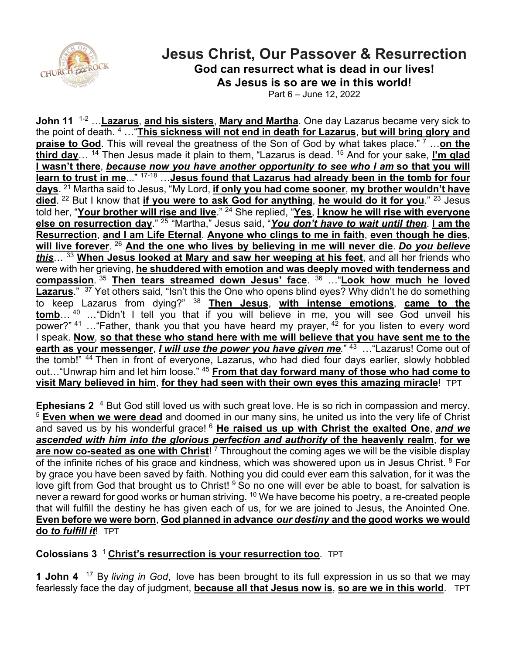

## **Jesus Christ, Our Passover & Resurrection God can resurrect what is dead in our lives! As Jesus is so are we in this world!**

Part 6 – June 12, 2022

**John 11** 1-2 …**Lazarus**, **and his sisters**, **Mary and Martha**. One day Lazarus became very sick to the point of death. <sup>4</sup> …"**This sickness will not end in death for Lazarus**, **but will bring glory and praise to God**. This will reveal the greatness of the Son of God by what takes place." <sup>7</sup> …**on the third day**… 14 Then Jesus made it plain to them, "Lazarus is dead. <sup>15</sup> And for your sake, **I'm glad I wasn't there**, *because now you have another opportunity to see who I am* **so that you will learn to trust in me**..." 17-18 …**Jesus found that Lazarus had already been in the tomb for four days**. 21 Martha said to Jesus, "My Lord, **if only you had come sooner**, **my brother wouldn't have died**. <sup>22</sup> But I know that **if you were to ask God for anything**, **he would do it for you**." 23 Jesus told her, "**Your brother will rise and live**." 24 She replied, "**Yes**, **I know he will rise with everyone else on resurrection day**." <sup>25</sup> "Martha," Jesus said, "*You don't have to wait until then*. **I am the Resurrection**, **and I am Life Eternal**. **Anyone who clings to me in faith**, **even though he dies**, **will live forever**. <sup>26</sup> **And the one who lives by believing in me will never die**. *Do you believe this*… <sup>33</sup> **When Jesus looked at Mary and saw her weeping at his feet**, and all her friends who were with her grieving, **he shuddered with emotion and was deeply moved with tenderness and compassion**. <sup>35</sup> **Then tears streamed down Jesus' face**. <sup>36</sup> …"**Look how much he loved**  Lazarus." <sup>37</sup> Yet others said, "Isn't this the One who opens blind eyes? Why didn't he do something to keep Lazarus from dying?" <sup>38</sup> **Then Jesus**, **with intense emotions**, **came to the tomb**… <sup>40</sup> …"Didn't I tell you that if you will believe in me, you will see God unveil his power?"  $41$  ... "Father, thank you that you have heard my prayer,  $42$  for you listen to every word I speak. **Now**, **so that these who stand here with me will believe that you have sent me to the earth as your messenger**, *I will use the power you have given me.*" 43 …"Lazarus! Come out of the tomb!" <sup>44</sup> Then in front of everyone, Lazarus, who had died four days earlier, slowly hobbled out…"Unwrap him and let him loose." 45 **From that day forward many of those who had come to visit Mary believed in him**, **for they had seen with their own eyes this amazing miracle**! TPT

**Ephesians 2** <sup>4</sup> But God still loved us with such great love. He is so rich in compassion and mercy. <sup>5</sup> **Even when we were dead** and doomed in our many sins, he united us into the very life of Christ and saved us by his wonderful grace! <sup>6</sup> **He raised us up with Christ the exalted One**, *and we ascended with him into the glorious perfection and authority* **of the heavenly realm**, **for we**  are now co-seated as one with Christ!<sup>7</sup> Throughout the coming ages we will be the visible display of the infinite riches of his grace and kindness, which was showered upon us in Jesus Christ. <sup>8</sup> For by grace you have been saved by faith. Nothing you did could ever earn this salvation, for it was the love gift from God that brought us to Christ! <sup>9</sup> So no one will ever be able to boast, for salvation is never a reward for good works or human striving. <sup>10</sup> We have become his poetry, a re-created people that will fulfill the destiny he has given each of us, for we are joined to Jesus, the Anointed One. **Even before we were born**, **God planned in advance** *our destiny* **and the good works we would do** *to fulfill it*! TPT

## **Colossians 3** 1 **Christ's resurrection is your resurrection too**. TPT

**1 John 4** 17 By *living in God*, love has been brought to its full expression in us so that we may fearlessly face the day of judgment, **because all that Jesus now is**, **so are we in this world**. TPT